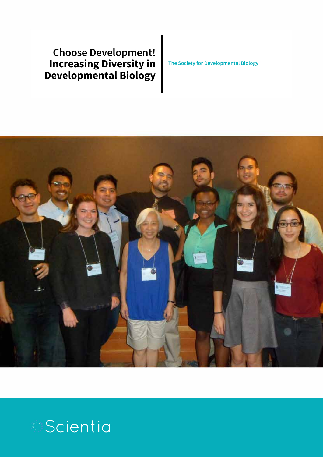### **Choose Development! Increasing Diversity in Developmental Biology**

**The Society for Developmental Biology**



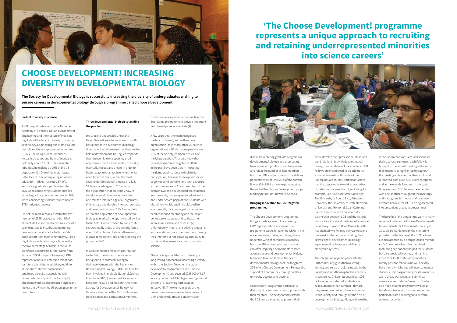#### **Lack of diversity in science**

A 2011 report published by the National Academy of Sciences, National Academy of Engineering and the Institute of Medicine highlighted the lack of diversity in Science, Technology, Engineering and Maths (STEM) disciplines. Under-represented minorities (URMs), including African-Americans, Hispanics/Latinos and Native Americans, hold only about 6% of STEM-orientated jobs, despite making up 29% of the US population (1). One of the major issues is the lack of URMs completing university education – URMs make up 33% of all secondary graduates, yet this drops to 26% when considering students enrolled in undergraduate courses, and worse, 18% when considering students that complete STEM-oriented degrees.

One of the main reasons cited for the low number of STEM graduates is that URM students fail to see themselves as successful scientists, due to insufficient mentoring, peer support, and a lack of role models and support from their community (2). This highlights a self-defeating cycle, whereby the low percentage of URMs in the STEM workforce discourages further URMs from studying STEM subjects. However, URMs represent a massive untapped talent pool for future scientists. In addition, multiple studies have shown that increased employee diversity is associated with increased creativity and productivity (3). The demographics also predict a significant increase in URMs in the US population in the near future.

#### **Three developmental biologists tackling the problem**

Drs Graciela Unguez, Ida Chow and Karen Bennett are a trio of scientists with backgrounds in developmental biology. When asked what drew each of them to the field of development, Dr Unguez responds that 'the well-known capability of all organisms – plant and animals – to modify their cells, tissues and organs in order to better adapt to changes in environmental conditions has been, to me, the most exciting developmental process of a fully "differentiated organism"'. Similarly, the big question that drew Ida Chow to developmental biology was 'how does one cell, the fertilized egg of all organisms differentiate and develop into such complex and beautiful structures?'. Dr Bennett tells us that the application of developmental biology to medical therapy is what drew her to the field: 'I was attracted by and am still extraordinarily proud of the exciting future of our field in terms of stem cell research, disease remediation, and understanding the process of life'.

In addition to their research contribution to the field, the trio also has a strong background in outreach, owing to their involvement with the Society for Developmental Biology (SDB). Dr Chow has been involved in multiple National Science Foundation (NSF) funded collaborations between the SDB and the Latin American Society for Developmental Biology. All three are also part of the SDB Professional Development and Education Committee,



## **CHOOSE DEVELOPMENT! INCREASING DIVERSITY IN DEVELOPMENTAL BIOLOGY**

**The Society for Developmental Biology is successfully increasing the diversity of undergraduates wishing to pursue careers in developmental biology through a programme called Choose Development!**

> which has developed initiatives such as the Boot Camp programme to provide important skills to early-career scientists (4).

A few years ago, the team recognised the lack of diversity within their own organisation (as in many other US science organisations) – URMs made up only about 10% of the Society, compared to 29% of the US population. They also knew that typical programmes targeted at URMs in the past have been slow in impacting the demographics (despite high initial participation) because these opportunities largely depend on very short-term exposure to the sciences. As Dr Chow describes: 'It has been known and documented that students from currently under-represented minority and under-served populations, students with disabilities (visible and invisible) and from economically disadvantaged communities need continued mentoring and for longer periods, to encourage and cultivate their interest for science and research (2). Unfortunately, most of the existing programs for these students are one-time deals, raising their interest but not providing continuity to sustain and increase their participation in science'.

These facts spurred the trio to develop a long-lasting approach to increasing diversity within the Society. Together, the team developed a programme called 'Choose Development!', and secured \$285,000 of NSF funding under the BIO-Integrative Organismal Systems' 'Broadening Participation' initiative (5). 'The two main goals of the programme are to increase the number of URM undergraduates and students with

disabilities entering graduate programs in developmental biology and progressing to independent positions, and to increase and retain the number of SDB members from the URM and persons with disabilities populations by at least 25% of the current figures (72 of 681 survey respondents) by the end of this Choose Development project funding period', Dr Chow tells Scientia.

#### **Bringing innovation to URM-targeted programmes**

The Choose Development! programme brings a fresh approach to increasing URM representation in science. The programme scouts for talented URMs in their undergraduate studies, and brings them under the wing of enthusiastic mentors from the SDB – talented scientists who can offer inspiring environments to learn about science and developmental biology. Moreover, to retain them in the field of developmental biology over the long term, SDB offers Choose Development Fellows the support of a community throughout their university degrees and beyond.

Once chosen, programme participants (Fellows) do a summer research project with their mentors. The next year they attend the SDB annual meeting to present their

work, develop their professional skills, and build relationships with developmental biologists at all stages of their careers. SDB Fellows are encouraged to do additional summer internships throughout their undergraduate studies. Participants have had the opportunity to work at a number of institutions across the US, including, for example, San Francisco State University, The University of Puerto Rico, Princeton University, the University of Utah, New York University and Memorial Sloan Kettering Cancer Centre. In addition, a fortuitous partnership between SDB and the historic Embryology Course at the Marine Biological Laboratory in Woods Hole, Massachusetts has enabled two Fellows per year to spend one week at the course expanding their knowledge of developmental biology experimental techniques and diverse embryonic systems.

The integration of participants into the SDB community gives them a strong identity and sense of belonging within the Society and sets them up for their careers in science. As Dr Bennett describes: 'SDB Fellows, as our selected students are called, do more than summer lab work; they are recognized and have an identity in our Society and throughout the field of developmental biology. Along with working in the laboratories of successful scientists during several summers, each Fellow is

brought to the annual meeting with one of their mentors, is highlighted throughout the meeting with videos of their work, and is received both at an SDB Board reception and at the Awards Banquet. In the past three years our SDB Fellows have bonded with one another throughout the meetings and through social media, and have been extraordinarily successful in being accepted into prestigious graduate programmes'. The benefits of the programme work in many

ways. Not only do the Choose Development! Fellows benefit, but their mentors also gain valuable skills. Along with the mentoring provided by the lab head, the SDB Fellows are also assisted by a designated lab mentor. As Dr Chow describes: 'Our multilevel mentoring has not only helped the students, but also provided learning and training experience for the laboratory mentors, mostly postdoc fellows who will one day have their own labs and will need to mentor students'. The programme provides mentors with a 2-day workshop, and continual assistance from 'Master' mentors. The trio also hope that the programme will help translate science to communities, as their participants are encouraged to perform outreach activities.

## **'The Choose Development! programme represents a unique approach to recruiting and retaining underrepresented minorities into science careers'**